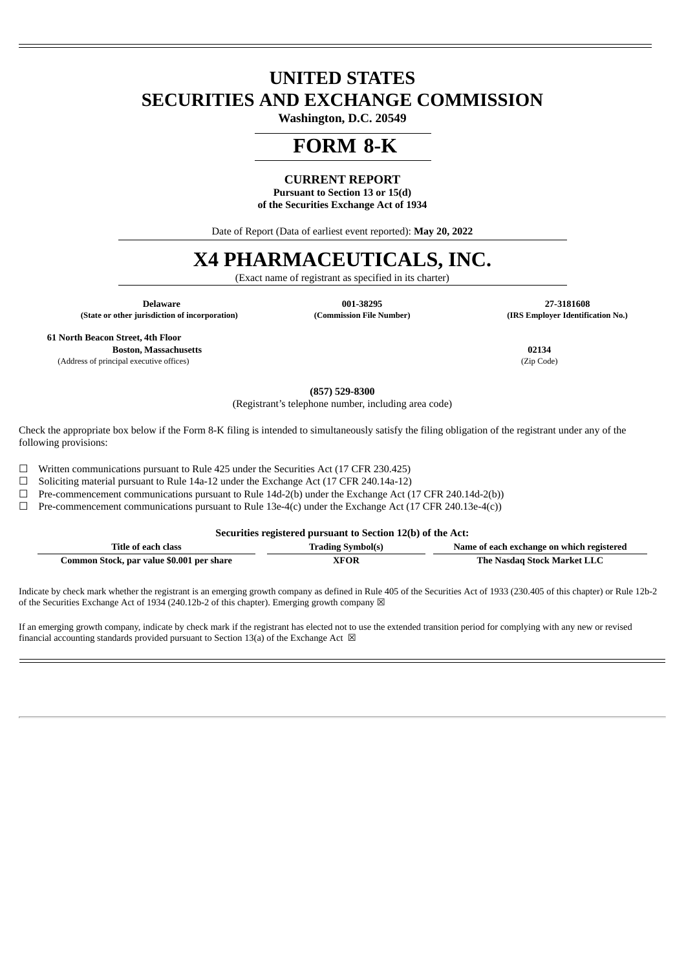## **UNITED STATES SECURITIES AND EXCHANGE COMMISSION**

**Washington, D.C. 20549**

## **FORM 8-K**

#### **CURRENT REPORT**

**Pursuant to Section 13 or 15(d) of the Securities Exchange Act of 1934**

Date of Report (Data of earliest event reported): **May 20, 2022**

# **X4 PHARMACEUTICALS, INC.**

(Exact name of registrant as specified in its charter)

 **Delaware 001-38295 27-3181608 (State or other jurisdiction of incorporation) (Commission File Number) (IRS Employer Identification No.)**

**61 North Beacon Street, 4th Floor**

**Boston, Massachusetts 02134**

(Address of principal executive offices) (Zip Code)

**(857) 529-8300**

(Registrant's telephone number, including area code)

Check the appropriate box below if the Form 8-K filing is intended to simultaneously satisfy the filing obligation of the registrant under any of the following provisions:

☐ Written communications pursuant to Rule 425 under the Securities Act (17 CFR 230.425)

 $\Box$  Soliciting material pursuant to Rule 14a-12 under the Exchange Act (17 CFR 240.14a-12)

 $\Box$  Pre-commencement communications pursuant to Rule 14d-2(b) under the Exchange Act (17 CFR 240.14d-2(b))

 $\Box$  Pre-commencement communications pursuant to Rule 13e-4(c) under the Exchange Act (17 CFR 240.13e-4(c))

**Securities registered pursuant to Section 12(b) of the Act:**

| Title of each class                       | <b>Trading Symbol(s)</b> | Name of each exchange on which registered |
|-------------------------------------------|--------------------------|-------------------------------------------|
| Common Stock, par value \$0.001 per share | <b>XFOR</b>              | The Nasdaq Stock Market LLC               |

Indicate by check mark whether the registrant is an emerging growth company as defined in Rule 405 of the Securities Act of 1933 (230.405 of this chapter) or Rule 12b-2 of the Securities Exchange Act of 1934 (240.12b-2 of this chapter). Emerging growth company  $\boxtimes$ 

If an emerging growth company, indicate by check mark if the registrant has elected not to use the extended transition period for complying with any new or revised financial accounting standards provided pursuant to Section 13(a) of the Exchange Act  $\boxtimes$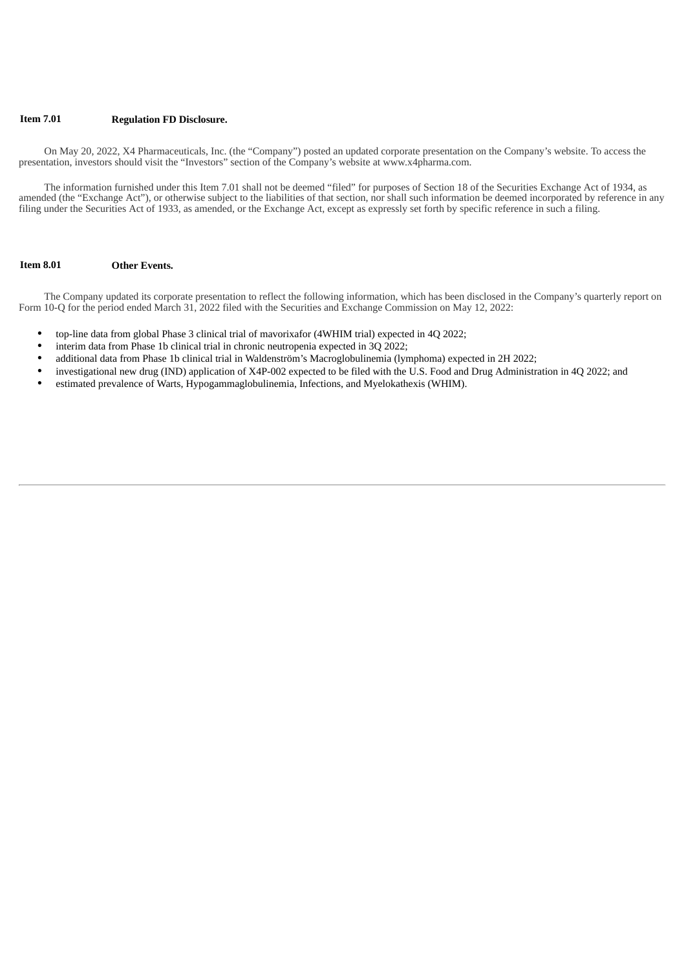#### **Item 7.01 Regulation FD Disclosure.**

On May 20, 2022, X4 Pharmaceuticals, Inc. (the "Company") posted an updated corporate presentation on the Company's website. To access the presentation, investors should visit the "Investors" section of the Company's website at www.x4pharma.com.

The information furnished under this Item 7.01 shall not be deemed "filed" for purposes of Section 18 of the Securities Exchange Act of 1934, as amended (the "Exchange Act"), or otherwise subject to the liabilities of that section, nor shall such information be deemed incorporated by reference in any filing under the Securities Act of 1933, as amended, or the Exchange Act, except as expressly set forth by specific reference in such a filing.

#### **Item 8.01 Other Events.**

The Company updated its corporate presentation to reflect the following information, which has been disclosed in the Company's quarterly report on Form 10-Q for the period ended March 31, 2022 filed with the Securities and Exchange Commission on May 12, 2022:

- top-line data from global Phase 3 clinical trial of mavorixafor (4WHIM trial) expected in 4Q 2022;
- interim data from Phase 1b clinical trial in chronic neutropenia expected in 3Q 2022;
- additional data from Phase 1b clinical trial in Waldenström's Macroglobulinemia (lymphoma) expected in 2H 2022;
- investigational new drug (IND) application of X4P-002 expected to be filed with the U.S. Food and Drug Administration in 4Q 2022; and
- estimated prevalence of Warts, Hypogammaglobulinemia, Infections, and Myelokathexis (WHIM).